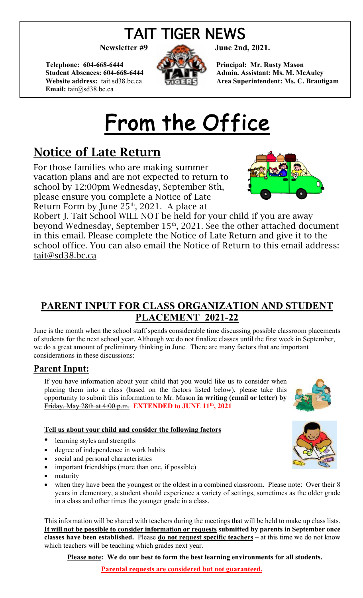## TAIT TIGER NEWS

Telephone: 604-668-6444 **Principal: Mr. Rusty Mason Email:** tait@sd38.bc.ca



Student Absences: 604-668-6444 **Admin. Assistant: Ms. M. McAuley Website address:** tait.sd38.bc.ca **Area Superintendent: Ms. C. Brautigam** 

# From the Office

### Notice of Late Return

For those families who are making summer vacation plans and are not expected to return to school by 12:00pm Wednesday, September 8th, please ensure you complete a Notice of Late Return Form by June  $25<sup>th</sup>$ , 2021. A place at



Robert J. Tait School WILL NOT be held for your child if you are away beyond Wednesday, September 15<sup>th</sup>, 2021. See the other attached document in this email. Please complete the Notice of Late Return and give it to the school office. You can also email the Notice of Return to this email address: tait@sd38.bc.ca

### **PARENT INPUT FOR CLASS ORGANIZATION AND STUDENT PLACEMENT 2021-22**

June is the month when the school staff spends considerable time discussing possible classroom placements of students for the next school year. Although we do not finalize classes until the first week in September, we do a great amount of preliminary thinking in June. There are many factors that are important considerations in these discussions:

#### **Parent Input:**

If you have information about your child that you would like us to consider when placing them into a class (based on the factors listed below), please take this opportunity to submit this information to Mr. Mason **in writing (email or letter) by**  Friday, May 28th at 4:00 p.m. **EXTENDED to JUNE 11th, 2021**

#### **Tell us about your child and consider the following factors**

- learning styles and strengths
- degree of independence in work habits
- social and personal characteristics
- important friendships (more than one, if possible)
- maturity
- when they have been the youngest or the oldest in a combined classroom. Please note: Over their 8 years in elementary, a student should experience a variety of settings, sometimes as the older grade in a class and other times the younger grade in a class.

This information will be shared with teachers during the meetings that will be held to make up class lists. **It will not be possible to consider information or requests submitted by parents in September once classes have been established.** Please **do not request specific teachers** – at this time we do not know which teachers will be teaching which grades next year.

**Please note: We do our best to form the best learning environments for all students.** 





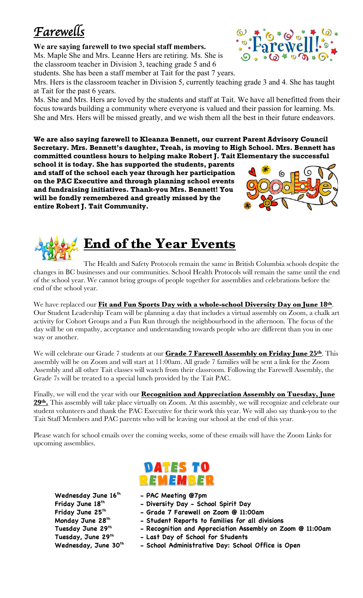### *Farewells*

#### **We are saying farewell to two special staff members.**

Ms. Maple She and Mrs. Leanne Hers are retiring. Ms. She is the classroom teacher in Division 3, teaching grade 5 and 6 students. She has been a staff member at Tait for the past 7 years.

Mrs. Hers is the classroom teacher in Division 5, currently teaching grade 3 and 4. She has taught at Tait for the past 6 years.

Ms. She and Mrs. Hers are loved by the students and staff at Tait. We have all benefitted from their focus towards building a community where everyone is valued and their passion for learning. Ms. She and Mrs. Hers will be missed greatly, and we wish them all the best in their future endeavors.

**We are also saying farewell to Kleanza Bennett, our current Parent Advisory Council Secretary. Mrs. Bennett's daughter, Treah, is moving to High School. Mrs. Bennett has committed countless hours to helping make Robert J. Tait Elementary the successful** 

**school it is today. She has supported the students, parents and staff of the school each year through her participation on the PAC Executive and through planning school events and fundraising initiatives. Thank-you Mrs. Bennett! You will be fondly remembered and greatly missed by the entire Robert J. Tait Community.**

The Health and Safety Protocols remain the same in British Columbia schools despite the changes in BC businesses and our communities. School Health Protocols will remain the same until the end of the school year. We cannot bring groups of people together for assemblies and celebrations before the end of the school year.

**End of the Year Events**

We have replaced our **Fit and Fun Sports Day with a whole-school Diversity Day on June 18th**. Our Student Leadership Team will be planning a day that includes a virtual assembly on Zoom, a chalk art activity for Cohort Groups and a Fun Run through the neighbourhood in the afternoon. The focus of the day will be on empathy, acceptance and understanding towards people who are different than you in one way or another.

We will celebrate our Grade 7 students at our **Grade 7 Farewell Assembly on Friday June 25th**. This assembly will be on Zoom and will start at 11:00am. All grade 7 families will be sent a link for the Zoom Assembly and all other Tait classes will watch from their classroom. Following the Farewell Assembly, the Grade 7s will be treated to a special lunch provided by the Tait PAC.

Finally, we will end the year with our **Recognition and Appreciation Assembly on Tuesday, June 29th.** This assembly will take place virtually on Zoom. At this assembly, we will recognize and celebrate our student volunteers and thank the PAC Executive for their work this year. We will also say thank-you to the Tait Staff Members and PAC parents who will be leaving our school at the end of this year.

Please watch for school emails over the coming weeks, some of these emails will have the Zoom Links for upcoming assemblies.

**Wednesday June 16th - PAC Meeting @7pm**

- **Friday June 18th - Diversity Day - School Spirit Day**
- **Friday June 25th - Grade 7 Farewell on Zoom @ 11:00am**
- **Monday June 28th - Student Reports to families for all divisions**
- **Tuesday June 29th - Recognition and Appreciation Assembly on Zoom @ 11:00am**
- **Tuesday, June 29th - Last Day of School for Students**
- Wednesday, June 30<sup>th</sup> School Administrative Day: School Office is Open